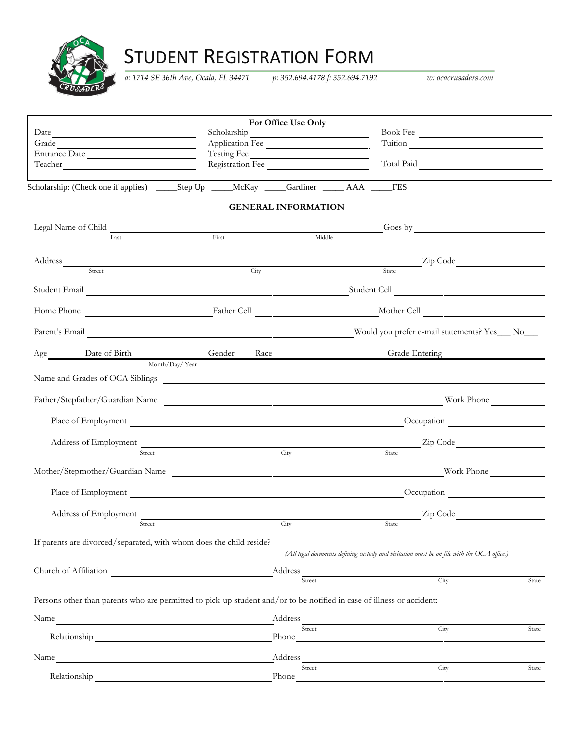

## STUDENT REGISTRATION FORM

*a: 1714 SE 36th Ave, Ocala, FL 34471 p: 352.694.4178 f: 352.694.7192 w: ocacrusaders.com*

|                                                                                                                                                                                                                               | For Office Use Only          |                                                                                            |
|-------------------------------------------------------------------------------------------------------------------------------------------------------------------------------------------------------------------------------|------------------------------|--------------------------------------------------------------------------------------------|
| Date have a series of the series of the series of the series of the series of the series of the series of the series of the series of the series of the series of the series of the series of the series of the series of the | Scholarship                  | Book Fee                                                                                   |
| Grade                                                                                                                                                                                                                         | Application Fee              |                                                                                            |
| Entrance Date                                                                                                                                                                                                                 | Testing Fee<br>Testing Fee   |                                                                                            |
|                                                                                                                                                                                                                               |                              | Total Paid                                                                                 |
| Scholarship: (Check one if applies) ______Step Up _______McKay _____Gardiner _______AAA ______FES                                                                                                                             |                              |                                                                                            |
|                                                                                                                                                                                                                               | <b>GENERAL INFORMATION</b>   |                                                                                            |
| Legal Name of Child                                                                                                                                                                                                           |                              | Goes by <b>Communicate Communication</b>                                                   |
| Last                                                                                                                                                                                                                          | Middle<br>First              |                                                                                            |
|                                                                                                                                                                                                                               |                              |                                                                                            |
| Street                                                                                                                                                                                                                        | City                         | Zip Code<br>State                                                                          |
|                                                                                                                                                                                                                               |                              |                                                                                            |
|                                                                                                                                                                                                                               |                              |                                                                                            |
|                                                                                                                                                                                                                               |                              |                                                                                            |
| Parent's Email                                                                                                                                                                                                                |                              | Would you prefer e-mail statements? Yes___ No___                                           |
| Age Date of Birth Gender                                                                                                                                                                                                      | Race                         | Grade Entering                                                                             |
| Month/Day/Year                                                                                                                                                                                                                |                              |                                                                                            |
|                                                                                                                                                                                                                               |                              |                                                                                            |
| Father/Stepfather/Guardian Name                                                                                                                                                                                               |                              | Work Phone                                                                                 |
| Place of Employment                                                                                                                                                                                                           |                              |                                                                                            |
|                                                                                                                                                                                                                               |                              | Address of Employment Zip Code Zip Code                                                    |
| Street                                                                                                                                                                                                                        | City                         | State                                                                                      |
| Mother/Stepmother/Guardian Name                                                                                                                                                                                               |                              | Work Phone                                                                                 |
| Place of Employment                                                                                                                                                                                                           |                              | Occupation                                                                                 |
| Address of Employment                                                                                                                                                                                                         |                              | Zip Code                                                                                   |
| Street                                                                                                                                                                                                                        | City                         | State                                                                                      |
| If parents are divorced/separated, with whom does the child reside?                                                                                                                                                           |                              |                                                                                            |
|                                                                                                                                                                                                                               |                              | (All legal documents defining custody and visitation must be on file with the OCA office.) |
| Church of Affiliation                                                                                                                                                                                                         | $-Address$ <sub>Street</sub> | City<br>State                                                                              |
| Persons other than parents who are permitted to pick-up student and/or to be notified in case of illness or accident:                                                                                                         |                              |                                                                                            |
| Name<br><u> 1980 - Johann Barn, mars eta bainar eta bat erroman erroman erroman erroman erroman erroman erroman erroman e</u>                                                                                                 |                              |                                                                                            |
|                                                                                                                                                                                                                               |                              | City<br>State                                                                              |
| Name                                                                                                                                                                                                                          | Address                      |                                                                                            |
| Relationship                                                                                                                                                                                                                  | Street<br>Phone              | City<br>State                                                                              |